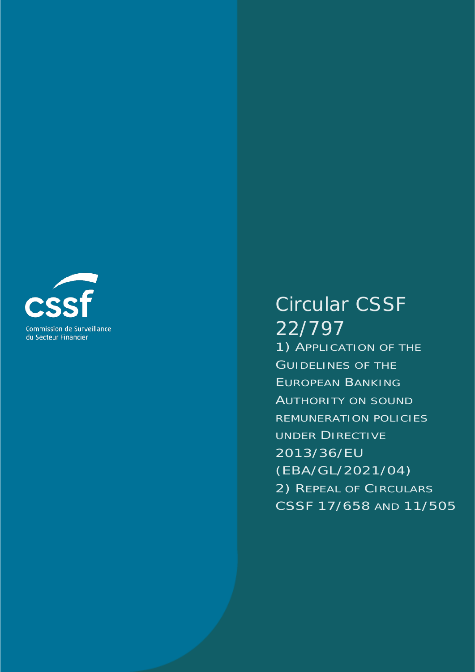

# Circular CSSF 22/797

1) APPLICATION OF THE GUIDELINES OF THE EUROPEAN BANKING AUTHORITY ON SOUND REMUNERATION POLICIES UNDER DIRECTIVE 2013/36/EU (EBA/GL/2021/04) 2) REPEAL OF CIRCULARS CSSF 17/658 AND 11/505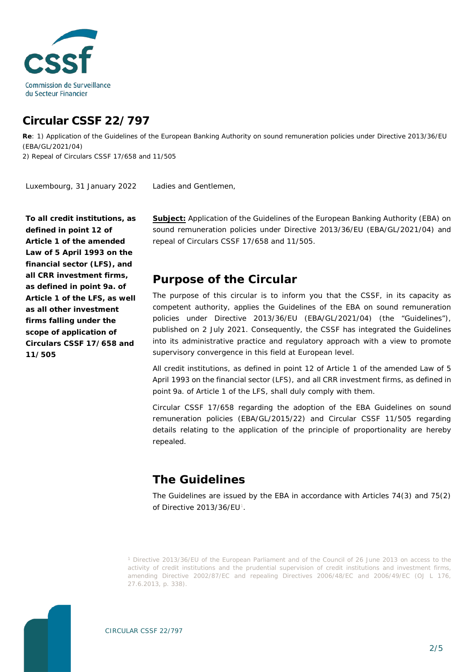

## **Circular CSSF 22/797**

**Re**: 1) Application of the Guidelines of the European Banking Authority on sound remuneration policies under Directive 2013/36/EU (EBA/GL/2021/04)

2) Repeal of Circulars CSSF 17/658 and 11/505

Ladies and Gentlemen, Luxembourg, 31 January 2022

**To all credit institutions, as defined in point 12 of Article 1 of the amended Law of 5 April 1993 on the financial sector (LFS), and all CRR investment firms, as defined in point 9a. of Article 1 of the LFS, as well as all other investment firms falling under the scope of application of Circulars CSSF 17/658 and 11/505**

**Subject:** Application of the Guidelines of the European Banking Authority (EBA) on sound remuneration policies under Directive 2013/36/EU (EBA/GL/2021/04) and repeal of Circulars CSSF 17/658 and 11/505.

#### **Purpose of the Circular**

The purpose of this circular is to inform you that the CSSF, in its capacity as competent authority, applies the Guidelines of the EBA on sound remuneration policies under Directive 2013/36/EU (EBA/GL/2021/04) (the "Guidelines"), published on 2 July 2021. Consequently, the CSSF has integrated the Guidelines into its administrative practice and regulatory approach with a view to promote supervisory convergence in this field at European level.

All credit institutions, as defined in point 12 of Article 1 of the amended Law of 5 April 1993 on the financial sector (LFS), and all CRR investment firms, as defined in point 9a. of Article 1 of the LFS, shall duly comply with them.

Circular CSSF 17/658 regarding the adoption of the EBA Guidelines on sound remuneration policies (EBA/GL/2015/22) and Circular CSSF 11/505 regarding details relating to the application of the principle of proportionality are hereby repealed.

## **The Guidelines**

The Guidelines are issued by the EBA in accordance with Articles 74(3) and 75(2) of Directive 20[1](#page-1-0)3/36/EU<sup>1</sup>.

<span id="page-1-0"></span>*<sup>1</sup> Directive 2013/36/EU of the European Parliament and of the Council of 26 June 2013 on access to the activity of credit institutions and the prudential supervision of credit institutions and investment firms, amending Directive 2002/87/EC and repealing Directives 2006/48/EC and 2006/49/EC (OJ L 176, 27.6.2013, p. 338).*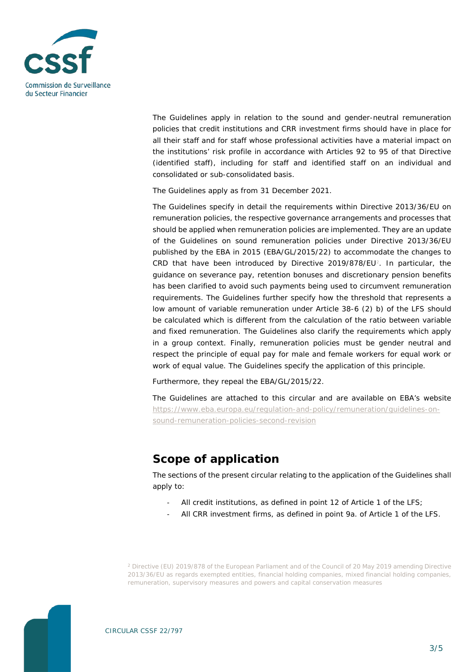

The Guidelines apply in relation to the sound and gender-neutral remuneration policies that credit institutions and CRR investment firms should have in place for all their staff and for staff whose professional activities have a material impact on the institutions' risk profile in accordance with Articles 92 to 95 of that Directive (identified staff), including for staff and identified staff on an individual and consolidated or sub-consolidated basis.

The Guidelines apply as from 31 December 2021.

The Guidelines specify in detail the requirements within Directive 2013/36/EU on remuneration policies, the respective governance arrangements and processes that should be applied when remuneration policies are implemented. They are an update of the Guidelines on sound remuneration policies under Directive 2013/36/EU published by the EBA in 2015 (EBA/GL/2015/22) to accommodate the changes to CRD that have been introduced by Directive [2](#page-2-0)019/878/EU<sup>2</sup>. In particular, the guidance on severance pay, retention bonuses and discretionary pension benefits has been clarified to avoid such payments being used to circumvent remuneration requirements. The Guidelines further specify how the threshold that represents a low amount of variable remuneration under Article 38-6 (2) b) of the LFS should be calculated which is different from the calculation of the ratio between variable and fixed remuneration. The Guidelines also clarify the requirements which apply in a group context. Finally, remuneration policies must be gender neutral and respect the principle of equal pay for male and female workers for equal work or work of equal value. The Guidelines specify the application of this principle.

Furthermore, they repeal the EBA/GL/2015/22.

The Guidelines are attached to this circular and are available on EBA's website [https://www.eba.europa.eu/regulation-and-policy/remuneration/guidelines-on](https://www.eba.europa.eu/regulation-and-policy/remuneration/guidelines-on-sound-remuneration-policies-second-revision)[sound-remuneration-policies-second-revision](https://www.eba.europa.eu/regulation-and-policy/remuneration/guidelines-on-sound-remuneration-policies-second-revision)

## **Scope of application**

The sections of the present circular relating to the application of the Guidelines shall apply to:

- All credit institutions, as defined in point 12 of Article 1 of the LFS;
- All CRR investment firms, as defined in point 9a. of Article 1 of the LFS.

<span id="page-2-0"></span>*<sup>2</sup> Directive (EU) 2019/878 of the European Parliament and of the Council of 20 May 2019 amending Directive 2013/36/EU as regards exempted entities, financial holding companies, mixed financial holding companies, remuneration, supervisory measures and powers and capital conservation measures*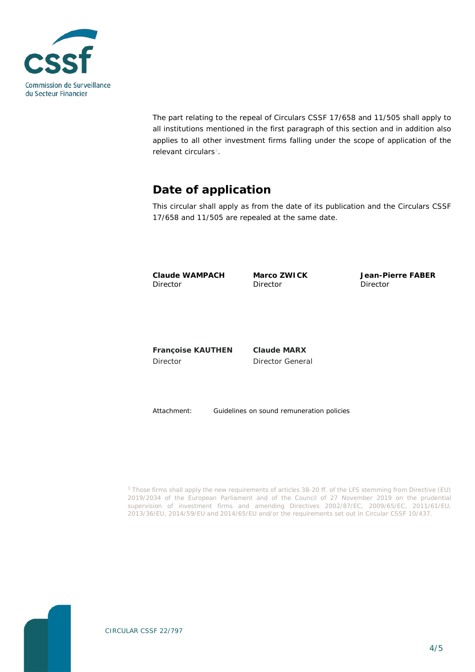

The part relating to the repeal of Circulars CSSF 17/658 and 11/505 shall apply to all institutions mentioned in the first paragraph of this section and in addition also applies to all other investment firms falling under the scope of application of the relevant circulars<sup>[3](#page-3-0)</sup>.

## **Date of application**

This circular shall apply as from the date of its publication and the Circulars CSSF 17/658 and 11/505 are repealed at the same date.

**Claude WAMPACH** Director

**Marco ZWICK Director** 

**Jean-Pierre FABER** Director

**Françoise KAUTHEN** Director

**Claude MARX** Director General

Attachment: Guidelines on sound remuneration policies

*<sup>3</sup> Those firms shall apply the new requirements of articles 38-20 ff. of the LFS stemming from Directive (EU) 2019/2034 of the European Parliament and of the Council of 27 November 2019 on the prudential supervision of investment firms and amending Directives 2002/87/EC, 2009/65/EC, 2011/61/EU, 2013/36/EU, 2014/59/EU and 2014/65/EU and/or the requirements set out in Circular CSSF 10/437.*

<span id="page-3-0"></span>